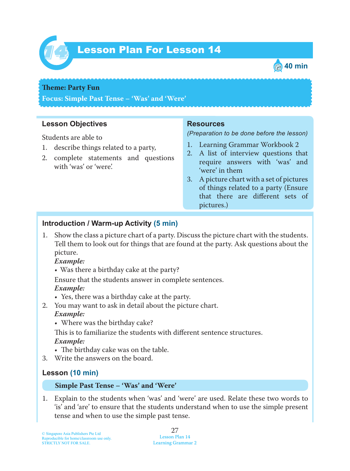

# Lesson Plan For Lesson 14 *14*



### **Theme: Party Fun**

**Focus: Simple Past Tense – 'Was' and 'Were'**

### **Lesson Objectives**

Students are able to

- 1. describe things related to a party,
- 2. complete statements and questions with 'was' or 'were'.

### **Resources**

*(Preparation to be done before the lesson)*

- 1. Learning Grammar Workbook 2
- 2. A list of interview questions that require answers with 'was' and 'were' in them
- 3. A picture chart with a set of pictures of things related to a party (Ensure that there are different sets of pictures.)

### **Introduction / Warm-up Activity (5 min)**

1. Show the class a picture chart of a party. Discuss the picture chart with the students. Tell them to look out for things that are found at the party. Ask questions about the picture.

### *Example:*

• Was there a birthday cake at the party?

Ensure that the students answer in complete sentences.  *Example:*

- Yes, there was a birthday cake at the party.
- 2. You may want to ask in detail about the picture chart.

### *Example:*

• Where was the birthday cake?

This is to familiarize the students with different sentence structures. *Example:*

- The birthday cake was on the table.
- 3. Write the answers on the board.

### **Lesson (10 min)**

### **Simple Past Tense – 'Was' and 'Were'**

1. Explain to the students when 'was' and 'were' are used. Relate these two words to 'is' and 'are' to ensure that the students understand when to use the simple present tense and when to use the simple past tense.